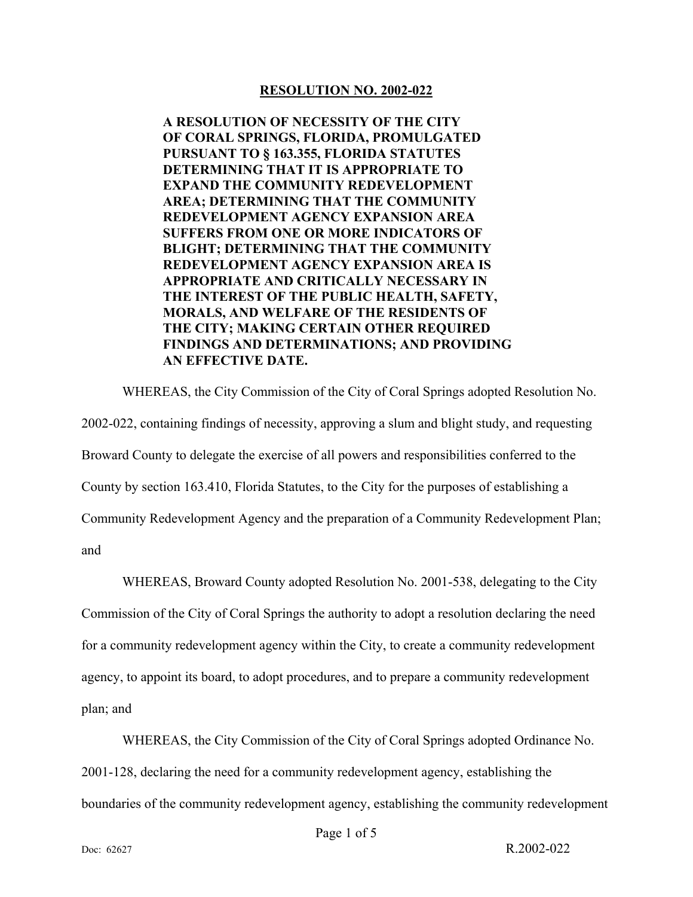#### **RESOLUTION NO. 2002-022**

**A RESOLUTION OF NECESSITY OF THE CITY OF CORAL SPRINGS, FLORIDA, PROMULGATED PURSUANT TO § 163.355, FLORIDA STATUTES DETERMINING THAT IT IS APPROPRIATE TO EXPAND THE COMMUNITY REDEVELOPMENT AREA; DETERMINING THAT THE COMMUNITY REDEVELOPMENT AGENCY EXPANSION AREA SUFFERS FROM ONE OR MORE INDICATORS OF BLIGHT; DETERMINING THAT THE COMMUNITY REDEVELOPMENT AGENCY EXPANSION AREA IS APPROPRIATE AND CRITICALLY NECESSARY IN THE INTEREST OF THE PUBLIC HEALTH, SAFETY, MORALS, AND WELFARE OF THE RESIDENTS OF THE CITY; MAKING CERTAIN OTHER REQUIRED FINDINGS AND DETERMINATIONS; AND PROVIDING AN EFFECTIVE DATE.** 

WHEREAS, the City Commission of the City of Coral Springs adopted Resolution No. 2002-022, containing findings of necessity, approving a slum and blight study, and requesting Broward County to delegate the exercise of all powers and responsibilities conferred to the County by section 163.410, Florida Statutes, to the City for the purposes of establishing a Community Redevelopment Agency and the preparation of a Community Redevelopment Plan;

and

WHEREAS, Broward County adopted Resolution No. 2001-538, delegating to the City Commission of the City of Coral Springs the authority to adopt a resolution declaring the need for a community redevelopment agency within the City, to create a community redevelopment agency, to appoint its board, to adopt procedures, and to prepare a community redevelopment plan; and

WHEREAS, the City Commission of the City of Coral Springs adopted Ordinance No. 2001-128, declaring the need for a community redevelopment agency, establishing the boundaries of the community redevelopment agency, establishing the community redevelopment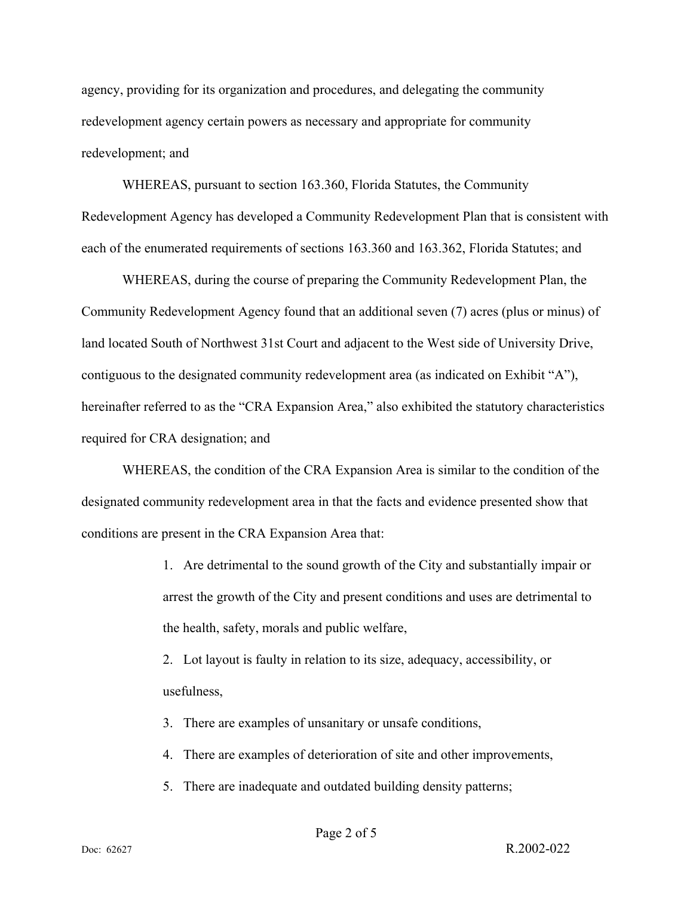agency, providing for its organization and procedures, and delegating the community redevelopment agency certain powers as necessary and appropriate for community redevelopment; and

WHEREAS, pursuant to section 163.360, Florida Statutes, the Community Redevelopment Agency has developed a Community Redevelopment Plan that is consistent with each of the enumerated requirements of sections 163.360 and 163.362, Florida Statutes; and

WHEREAS, during the course of preparing the Community Redevelopment Plan, the Community Redevelopment Agency found that an additional seven (7) acres (plus or minus) of land located South of Northwest 31st Court and adjacent to the West side of University Drive, contiguous to the designated community redevelopment area (as indicated on Exhibit "A"), hereinafter referred to as the "CRA Expansion Area," also exhibited the statutory characteristics required for CRA designation; and

WHEREAS, the condition of the CRA Expansion Area is similar to the condition of the designated community redevelopment area in that the facts and evidence presented show that conditions are present in the CRA Expansion Area that:

> 1. Are detrimental to the sound growth of the City and substantially impair or arrest the growth of the City and present conditions and uses are detrimental to the health, safety, morals and public welfare,

2. Lot layout is faulty in relation to its size, adequacy, accessibility, or usefulness,

3. There are examples of unsanitary or unsafe conditions,

- 4. There are examples of deterioration of site and other improvements,
- 5. There are inadequate and outdated building density patterns;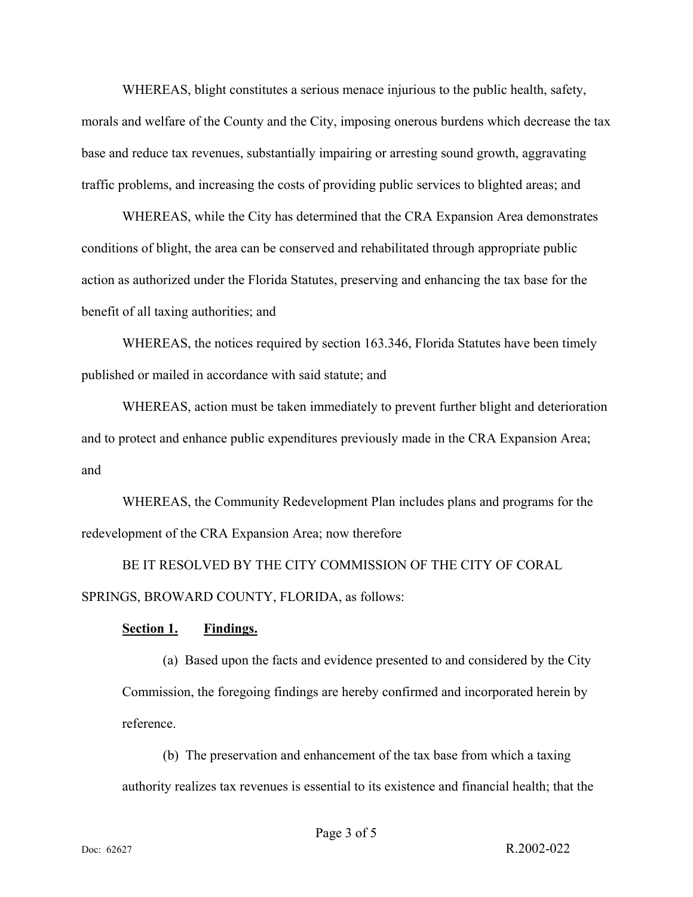WHEREAS, blight constitutes a serious menace injurious to the public health, safety, morals and welfare of the County and the City, imposing onerous burdens which decrease the tax base and reduce tax revenues, substantially impairing or arresting sound growth, aggravating traffic problems, and increasing the costs of providing public services to blighted areas; and

WHEREAS, while the City has determined that the CRA Expansion Area demonstrates conditions of blight, the area can be conserved and rehabilitated through appropriate public action as authorized under the Florida Statutes, preserving and enhancing the tax base for the benefit of all taxing authorities; and

WHEREAS, the notices required by section 163.346, Florida Statutes have been timely published or mailed in accordance with said statute; and

WHEREAS, action must be taken immediately to prevent further blight and deterioration and to protect and enhance public expenditures previously made in the CRA Expansion Area; and

WHEREAS, the Community Redevelopment Plan includes plans and programs for the redevelopment of the CRA Expansion Area; now therefore

BE IT RESOLVED BY THE CITY COMMISSION OF THE CITY OF CORAL SPRINGS, BROWARD COUNTY, FLORIDA, as follows:

#### **Findings. <u>Section 1.</u>**

(a) Based upon the facts and evidence presented to and considered by the City Commission, the foregoing findings are hereby confirmed and incorporated herein by reference.

(b) The preservation and enhancement of the tax base from which a taxing authority realizes tax revenues is essential to its existence and financial health; that the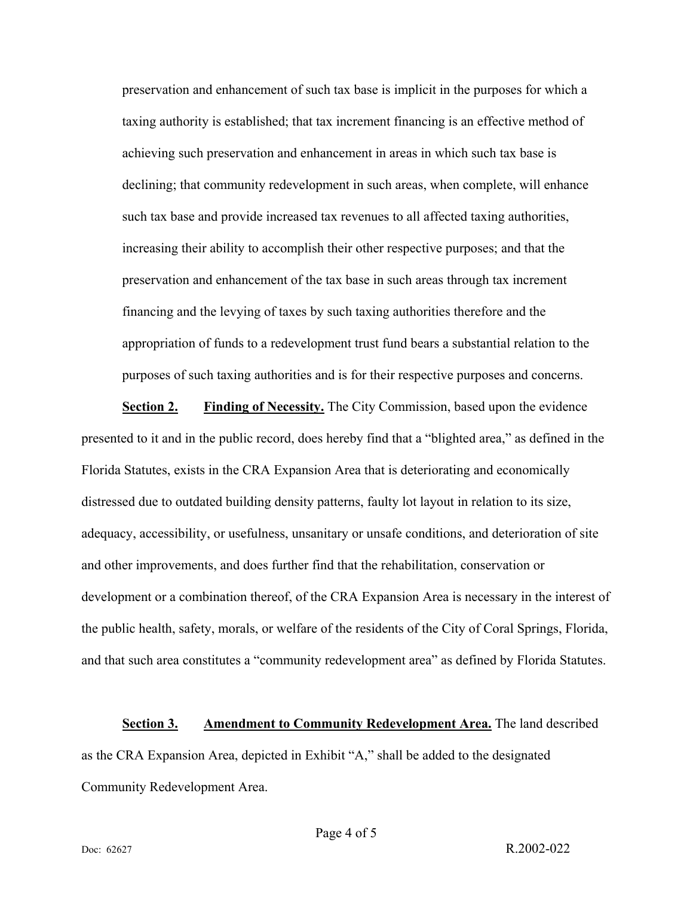preservation and enhancement of such tax base is implicit in the purposes for which a taxing authority is established; that tax increment financing is an effective method of achieving such preservation and enhancement in areas in which such tax base is declining; that community redevelopment in such areas, when complete, will enhance such tax base and provide increased tax revenues to all affected taxing authorities, increasing their ability to accomplish their other respective purposes; and that the preservation and enhancement of the tax base in such areas through tax increment financing and the levying of taxes by such taxing authorities therefore and the appropriation of funds to a redevelopment trust fund bears a substantial relation to the purposes of such taxing authorities and is for their respective purposes and concerns.

**<u>Section 2.</u> Finding of Necessity.** The City Commission, based upon the evidence presented to it and in the public record, does hereby find that a "blighted area," as defined in the Florida Statutes, exists in the CRA Expansion Area that is deteriorating and economically distressed due to outdated building density patterns, faulty lot layout in relation to its size, adequacy, accessibility, or usefulness, unsanitary or unsafe conditions, and deterioration of site and other improvements, and does further find that the rehabilitation, conservation or development or a combination thereof, of the CRA Expansion Area is necessary in the interest of the public health, safety, morals, or welfare of the residents of the City of Coral Springs, Florida, and that such area constitutes a "community redevelopment area" as defined by Florida Statutes.

**<u>Section 3.</u> Amendment to Community Redevelopment Area.** The land described as the CRA Expansion Area, depicted in Exhibit "A," shall be added to the designated Community Redevelopment Area.